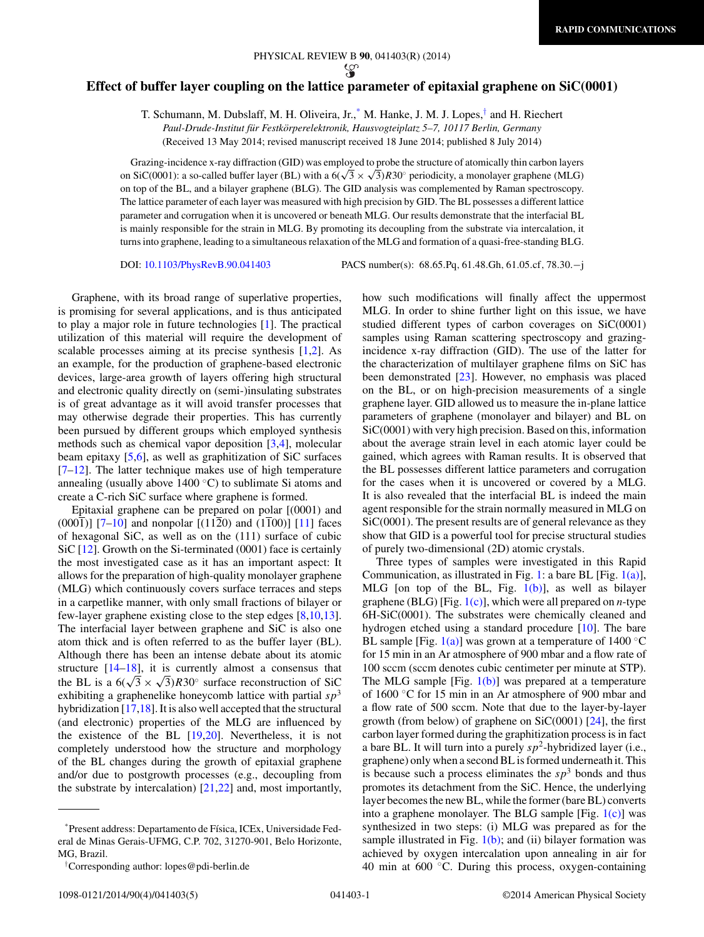## **Effect of buffer layer coupling on the lattice parameter of epitaxial graphene on SiC(0001)**

T. Schumann, M. Dubslaff, M. H. Oliveira, Jr.,\* M. Hanke, J. M. J. Lopes,† and H. Riechert *Paul-Drude-Institut fur Festk ¨ orperelektronik, Hausvogteiplatz 5–7, 10117 Berlin, Germany ¨* (Received 13 May 2014; revised manuscript received 18 June 2014; published 8 July 2014)

Grazing-incidence x-ray diffraction (GID) was employed to probe the structure of atomically thin carbon layers on SiC(0001): a so-called buffer layer (BL) with a  $6(\sqrt{3} \times \sqrt{3})$ *R*30° periodicity, a monolayer graphene (MLG) on top of the BL, and a bilayer graphene (BLG). The GID analysis was complemented by Raman spectroscopy. The lattice parameter of each layer was measured with high precision by GID. The BL possesses a different lattice parameter and corrugation when it is uncovered or beneath MLG. Our results demonstrate that the interfacial BL is mainly responsible for the strain in MLG. By promoting its decoupling from the substrate via intercalation, it turns into graphene, leading to a simultaneous relaxation of the MLG and formation of a quasi-free-standing BLG.

DOI: [10.1103/PhysRevB.90.041403](http://dx.doi.org/10.1103/PhysRevB.90.041403) PACS number(s): 68*.*65*.*Pq*,* 61*.*48*.*Gh*,* 61*.*05*.*cf*,* 78*.*30*.*−j

Graphene, with its broad range of superlative properties, is promising for several applications, and is thus anticipated to play a major role in future technologies [\[1\]](#page-3-0). The practical utilization of this material will require the development of scalable processes aiming at its precise synthesis [\[1,2\]](#page-3-0). As an example, for the production of graphene-based electronic devices, large-area growth of layers offering high structural and electronic quality directly on (semi-)insulating substrates is of great advantage as it will avoid transfer processes that may otherwise degrade their properties. This has currently been pursued by different groups which employed synthesis methods such as chemical vapor deposition [\[3,4\]](#page-3-0), molecular beam epitaxy [\[5,6\]](#page-3-0), as well as graphitization of SiC surfaces [\[7–12\]](#page-3-0). The latter technique makes use of high temperature annealing (usually above  $1400\degree C$ ) to sublimate Si atoms and create a C-rich SiC surface where graphene is formed.

Epitaxial graphene can be prepared on polar [(0001) and  $(000\bar{1})$ ] [\[7–10\]](#page-3-0) and nonpolar [(1120) and (1100)] [\[11\]](#page-3-0) faces of hexagonal SiC, as well as on the (111) surface of cubic SiC [\[12\]](#page-3-0). Growth on the Si-terminated (0001) face is certainly the most investigated case as it has an important aspect: It allows for the preparation of high-quality monolayer graphene (MLG) which continuously covers surface terraces and steps in a carpetlike manner, with only small fractions of bilayer or few-layer graphene existing close to the step edges  $[8,10,13]$ . The interfacial layer between graphene and SiC is also one atom thick and is often referred to as the buffer layer (BL). Although there has been an intense debate about its atomic structure [\[14](#page-3-0)[–18\]](#page-4-0), it is currently almost a consensus that the BL is a  $6(\sqrt{3} \times \sqrt{3})R30^\circ$  surface reconstruction of SiC exhibiting a graphenelike honeycomb lattice with partial  $sp<sup>3</sup>$ hybridization [\[17,](#page-3-0)[18\]](#page-4-0). It is also well accepted that the structural (and electronic) properties of the MLG are influenced by the existence of the BL [\[19,20\]](#page-4-0). Nevertheless, it is not completely understood how the structure and morphology of the BL changes during the growth of epitaxial graphene and/or due to postgrowth processes (e.g., decoupling from the substrate by intercalation) [\[21,22\]](#page-4-0) and, most importantly,

\*Present address: Departamento de F´ısica, ICEx, Universidade Federal de Minas Gerais-UFMG, C.P. 702, 31270-901, Belo Horizonte, MG, Brazil.

how such modifications will finally affect the uppermost MLG. In order to shine further light on this issue, we have studied different types of carbon coverages on SiC(0001) samples using Raman scattering spectroscopy and grazingincidence x-ray diffraction (GID). The use of the latter for the characterization of multilayer graphene films on SiC has been demonstrated [\[23\]](#page-4-0). However, no emphasis was placed on the BL, or on high-precision measurements of a single graphene layer. GID allowed us to measure the in-plane lattice parameters of graphene (monolayer and bilayer) and BL on SiC(0001) with very high precision. Based on this, information about the average strain level in each atomic layer could be gained, which agrees with Raman results. It is observed that the BL possesses different lattice parameters and corrugation for the cases when it is uncovered or covered by a MLG. It is also revealed that the interfacial BL is indeed the main agent responsible for the strain normally measured in MLG on SiC(0001). The present results are of general relevance as they show that GID is a powerful tool for precise structural studies of purely two-dimensional (2D) atomic crystals.

Three types of samples were investigated in this Rapid Communication, as illustrated in Fig. [1:](#page-1-0) a bare BL [Fig. [1\(a\)\]](#page-1-0), MLG [on top of the BL, Fig.  $1(b)$ ], as well as bilayer graphene (BLG) [Fig. [1\(c\)\]](#page-1-0), which were all prepared on *n*-type 6H-SiC(0001). The substrates were chemically cleaned and hydrogen etched using a standard procedure [\[10\]](#page-3-0). The bare BL sample [Fig. [1\(a\)\]](#page-1-0) was grown at a temperature of  $1400 °C$ for 15 min in an Ar atmosphere of 900 mbar and a flow rate of 100 sccm (sccm denotes cubic centimeter per minute at STP). The MLG sample [Fig.  $1(b)$ ] was prepared at a temperature of 1600 ◦C for 15 min in an Ar atmosphere of 900 mbar and a flow rate of 500 sccm. Note that due to the layer-by-layer growth (from below) of graphene on  $SiC(0001)$  [\[24\]](#page-4-0), the first carbon layer formed during the graphitization process is in fact a bare BL. It will turn into a purely  $sp^2$ -hybridized layer (i.e., graphene) only when a second BL is formed underneath it. This is because such a process eliminates the  $sp<sup>3</sup>$  bonds and thus promotes its detachment from the SiC. Hence, the underlying layer becomes the new BL, while the former (bare BL) converts into a graphene monolayer. The BLG sample [Fig.  $1(c)$ ] was synthesized in two steps: (i) MLG was prepared as for the sample illustrated in Fig.  $1(b)$ ; and (ii) bilayer formation was achieved by oxygen intercalation upon annealing in air for 40 min at  $600$   $°C$ . During this process, oxygen-containing

<sup>†</sup> Corresponding author: lopes@pdi-berlin.de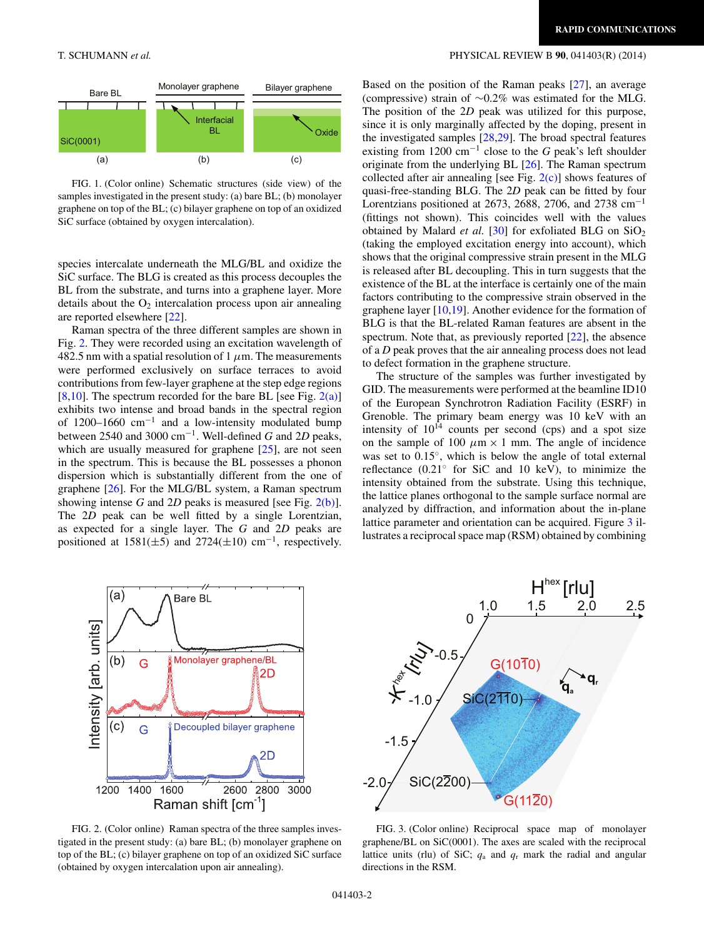

FIG. 1. (Color online) Schematic structures (side view) of the samples investigated in the present study: (a) bare BL; (b) monolayer graphene on top of the BL; (c) bilayer graphene on top of an oxidized SiC surface (obtained by oxygen intercalation).

species intercalate underneath the MLG/BL and oxidize the SiC surface. The BLG is created as this process decouples the BL from the substrate, and turns into a graphene layer. More details about the  $O_2$  intercalation process upon air annealing are reported elsewhere [\[22\]](#page-4-0).

Raman spectra of the three different samples are shown in Fig. 2. They were recorded using an excitation wavelength of 482.5 nm with a spatial resolution of 1 *μ*m. The measurements were performed exclusively on surface terraces to avoid contributions from few-layer graphene at the step edge regions [\[8,10\]](#page-3-0). The spectrum recorded for the bare BL [see Fig.  $2(a)$ ] exhibits two intense and broad bands in the spectral region of 1200–1660 cm−<sup>1</sup> and a low-intensity modulated bump between 2540 and 3000 cm−1. Well-defined *G* and 2*D* peaks, which are usually measured for graphene  $[25]$ , are not seen in the spectrum. This is because the BL possesses a phonon dispersion which is substantially different from the one of graphene [\[26\]](#page-4-0). For the MLG/BL system, a Raman spectrum showing intense *G* and 2*D* peaks is measured [see Fig.  $2(b)$ ]. The 2*D* peak can be well fitted by a single Lorentzian, as expected for a single layer. The *G* and 2*D* peaks are positioned at  $1581(\pm 5)$  and  $2724(\pm 10)$  cm<sup>-1</sup>, respectively.



FIG. 2. (Color online) Raman spectra of the three samples investigated in the present study: (a) bare BL; (b) monolayer graphene on top of the BL; (c) bilayer graphene on top of an oxidized SiC surface (obtained by oxygen intercalation upon air annealing).

## <span id="page-1-0"></span>T. SCHUMANN *et al.* PHYSICAL REVIEW B **90**, 041403(R) (2014)

Based on the position of the Raman peaks [\[27\]](#page-4-0), an average (compressive) strain of ∼0.2% was estimated for the MLG. The position of the 2*D* peak was utilized for this purpose, since it is only marginally affected by the doping, present in the investigated samples [\[28,29\]](#page-4-0). The broad spectral features existing from 1200 cm−<sup>1</sup> close to the *G* peak's left shoulder originate from the underlying BL [\[26\]](#page-4-0). The Raman spectrum collected after air annealing [see Fig.  $2(c)$ ] shows features of quasi-free-standing BLG. The 2*D* peak can be fitted by four Lorentzians positioned at 2673, 2688, 2706, and 2738 cm−<sup>1</sup> (fittings not shown). This coincides well with the values obtained by Malard *et al.* [\[30\]](#page-4-0) for exfoliated BLG on  $SiO<sub>2</sub>$ (taking the employed excitation energy into account), which shows that the original compressive strain present in the MLG is released after BL decoupling. This in turn suggests that the existence of the BL at the interface is certainly one of the main factors contributing to the compressive strain observed in the graphene layer [\[10,](#page-3-0)[19\]](#page-4-0). Another evidence for the formation of BLG is that the BL-related Raman features are absent in the spectrum. Note that, as previously reported [\[22\]](#page-4-0), the absence of a *D* peak proves that the air annealing process does not lead to defect formation in the graphene structure.

The structure of the samples was further investigated by GID. The measurements were performed at the beamline ID10 of the European Synchrotron Radiation Facility (ESRF) in Grenoble. The primary beam energy was 10 keV with an intensity of  $10^{14}$  counts per second (cps) and a spot size on the sample of 100  $\mu$ m  $\times$  1 mm. The angle of incidence was set to 0.15◦, which is below the angle of total external reflectance  $(0.21°$  for SiC and 10 keV), to minimize the intensity obtained from the substrate. Using this technique, the lattice planes orthogonal to the sample surface normal are analyzed by diffraction, and information about the in-plane lattice parameter and orientation can be acquired. Figure 3 illustrates a reciprocal space map (RSM) obtained by combining



FIG. 3. (Color online) Reciprocal space map of monolayer graphene/BL on SiC(0001). The axes are scaled with the reciprocal lattice units (rlu) of SiC;  $q_a$  and  $q_r$  mark the radial and angular directions in the RSM.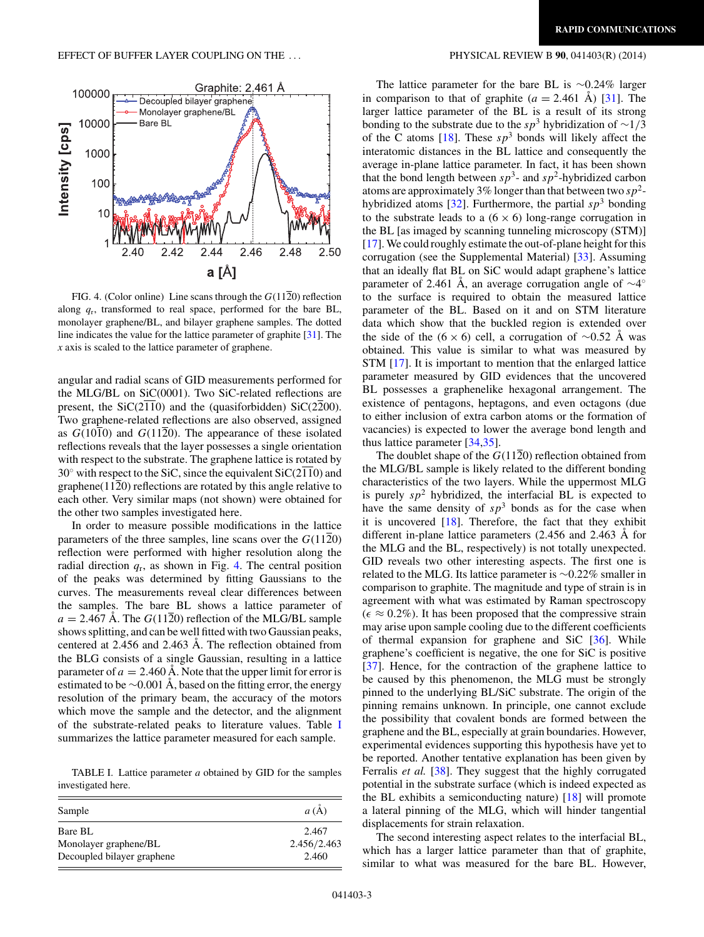

FIG. 4. (Color online) Line scans through the  $G(11\overline{2}0)$  reflection along  $q_r$ , transformed to real space, performed for the bare BL, monolayer graphene/BL, and bilayer graphene samples. The dotted line indicates the value for the lattice parameter of graphite [\[31\]](#page-4-0). The *x* axis is scaled to the lattice parameter of graphene.

angular and radial scans of GID measurements performed for the MLG/BL on SiC(0001). Two SiC-related reflections are present, the  $SiC(2\overline{11}0)$  and the (quasiforbidden)  $SiC(2\overline{2}00)$ . Two graphene-related reflections are also observed, assigned as  $G(10\overline{1}0)$  and  $G(11\overline{2}0)$ . The appearance of these isolated reflections reveals that the layer possesses a single orientation with respect to the substrate. The graphene lattice is rotated by  $30^\circ$  with respect to the SiC, since the equivalent SiC( $2\overline{11}0$ ) and graphene(1120) reflections are rotated by this angle relative to each other. Very similar maps (not shown) were obtained for the other two samples investigated here.

In order to measure possible modifications in the lattice parameters of the three samples, line scans over the *G*(1120) reflection were performed with higher resolution along the radial direction  $q_r$ , as shown in Fig. 4. The central position of the peaks was determined by fitting Gaussians to the curves. The measurements reveal clear differences between the samples. The bare BL shows a lattice parameter of  $a = 2.467$  Å. The  $G(11\overline{2}0)$  reflection of the MLG/BL sample shows splitting, and can be well fitted with two Gaussian peaks, centered at  $2.456$  and  $2.463$  Å. The reflection obtained from the BLG consists of a single Gaussian, resulting in a lattice parameter of  $a = 2.460$  Å. Note that the upper limit for error is estimated to be  $\sim$ 0.001 Å, based on the fitting error, the energy resolution of the primary beam, the accuracy of the motors which move the sample and the detector, and the alignment of the substrate-related peaks to literature values. Table I summarizes the lattice parameter measured for each sample.

TABLE I. Lattice parameter *a* obtained by GID for the samples investigated here.

| Sample                     | a(A)        |
|----------------------------|-------------|
| Bare BL                    | 2.467       |
| Monolayer graphene/BL      | 2.456/2.463 |
| Decoupled bilayer graphene | 2.460       |

The lattice parameter for the bare BL is ∼0.24% larger in comparison to that of graphite  $(a = 2.461 \text{ Å})$  [[31\]](#page-4-0). The larger lattice parameter of the BL is a result of its strong bonding to the substrate due to the *sp*<sup>3</sup> hybridization of <sup>∼</sup>1*/*<sup>3</sup> of the C atoms  $[18]$ . These  $sp^3$  bonds will likely affect the interatomic distances in the BL lattice and consequently the average in-plane lattice parameter. In fact, it has been shown that the bond length between  $sp^3$ - and  $sp^2$ -hybridized carbon atoms are approximately 3% longer than that between two *sp*2- hybridized atoms [\[32\]](#page-4-0). Furthermore, the partial  $sp<sup>3</sup>$  bonding to the substrate leads to a  $(6 \times 6)$  long-range corrugation in the BL [as imaged by scanning tunneling microscopy (STM)] [\[17\]](#page-3-0). We could roughly estimate the out-of-plane height for this corrugation (see the Supplemental Material) [\[33\]](#page-4-0). Assuming that an ideally flat BL on SiC would adapt graphene's lattice parameter of 2.461 Å, an average corrugation angle of  $\sim$ 4° to the surface is required to obtain the measured lattice parameter of the BL. Based on it and on STM literature data which show that the buckled region is extended over the side of the (6 × 6) cell, a corrugation of  $\sim$ 0.52 Å was obtained. This value is similar to what was measured by STM [\[17\]](#page-3-0). It is important to mention that the enlarged lattice parameter measured by GID evidences that the uncovered BL possesses a graphenelike hexagonal arrangement. The existence of pentagons, heptagons, and even octagons (due to either inclusion of extra carbon atoms or the formation of vacancies) is expected to lower the average bond length and thus lattice parameter [\[34,35\]](#page-4-0).

The doublet shape of the *G*(1120) reflection obtained from the MLG/BL sample is likely related to the different bonding characteristics of the two layers. While the uppermost MLG is purely  $sp^2$  hybridized, the interfacial BL is expected to have the same density of  $sp^3$  bonds as for the case when it is uncovered [\[18\]](#page-4-0). Therefore, the fact that they exhibit different in-plane lattice parameters  $(2.456$  and  $2.463$  Å for the MLG and the BL, respectively) is not totally unexpected. GID reveals two other interesting aspects. The first one is related to the MLG. Its lattice parameter is ∼0.22% smaller in comparison to graphite. The magnitude and type of strain is in agreement with what was estimated by Raman spectroscopy  $(\epsilon \approx 0.2\%)$ . It has been proposed that the compressive strain may arise upon sample cooling due to the different coefficients of thermal expansion for graphene and SiC [\[36\]](#page-4-0). While graphene's coefficient is negative, the one for SiC is positive [\[37\]](#page-4-0). Hence, for the contraction of the graphene lattice to be caused by this phenomenon, the MLG must be strongly pinned to the underlying BL/SiC substrate. The origin of the pinning remains unknown. In principle, one cannot exclude the possibility that covalent bonds are formed between the graphene and the BL, especially at grain boundaries. However, experimental evidences supporting this hypothesis have yet to be reported. Another tentative explanation has been given by Ferralis *et al.* [\[38\]](#page-4-0). They suggest that the highly corrugated potential in the substrate surface (which is indeed expected as the BL exhibits a semiconducting nature) [\[18\]](#page-4-0) will promote a lateral pinning of the MLG, which will hinder tangential displacements for strain relaxation.

The second interesting aspect relates to the interfacial BL, which has a larger lattice parameter than that of graphite, similar to what was measured for the bare BL. However,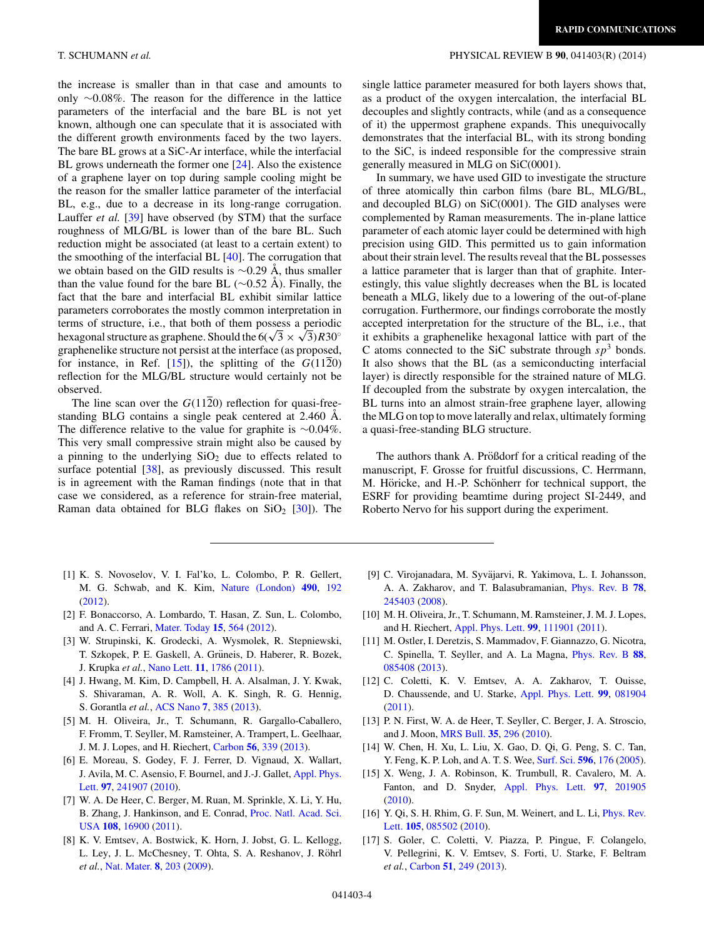<span id="page-3-0"></span>the increase is smaller than in that case and amounts to only ∼0.08%. The reason for the difference in the lattice parameters of the interfacial and the bare BL is not yet known, although one can speculate that it is associated with the different growth environments faced by the two layers. The bare BL grows at a SiC-Ar interface, while the interfacial BL grows underneath the former one [\[24\]](#page-4-0). Also the existence of a graphene layer on top during sample cooling might be the reason for the smaller lattice parameter of the interfacial BL, e.g., due to a decrease in its long-range corrugation. Lauffer *et al.* [\[39\]](#page-4-0) have observed (by STM) that the surface roughness of MLG/BL is lower than of the bare BL. Such reduction might be associated (at least to a certain extent) to the smoothing of the interfacial BL [\[40\]](#page-4-0). The corrugation that we obtain based on the GID results is  $\sim$ 0.29 Å, thus smaller than the value found for the bare BL ( $\sim$ 0.52 Å). Finally, the fact that the bare and interfacial BL exhibit similar lattice parameters corroborates the mostly common interpretation in terms of structure, i.e., that both of them possess a periodic hexagonal structure as graphene. Should the  $6(\sqrt{3} \times \sqrt{3})R30^\circ$ graphenelike structure not persist at the interface (as proposed, for instance, in Ref.  $[15]$ , the splitting of the  $G(11\overline{2}0)$ reflection for the MLG/BL structure would certainly not be observed.

The line scan over the  $G(1120)$  reflection for quasi-freestanding BLG contains a single peak centered at 2.460 Å. The difference relative to the value for graphite is ∼0.04%. This very small compressive strain might also be caused by a pinning to the underlying  $SiO<sub>2</sub>$  due to effects related to surface potential [\[38\]](#page-4-0), as previously discussed. This result is in agreement with the Raman findings (note that in that case we considered, as a reference for strain-free material, Raman data obtained for BLG flakes on  $SiO<sub>2</sub>$  [\[30\]](#page-4-0)). The

**RAPID COMMUNICATIONS**

single lattice parameter measured for both layers shows that, as a product of the oxygen intercalation, the interfacial BL decouples and slightly contracts, while (and as a consequence of it) the uppermost graphene expands. This unequivocally demonstrates that the interfacial BL, with its strong bonding to the SiC, is indeed responsible for the compressive strain generally measured in MLG on SiC(0001).

In summary, we have used GID to investigate the structure of three atomically thin carbon films (bare BL, MLG/BL, and decoupled BLG) on SiC(0001). The GID analyses were complemented by Raman measurements. The in-plane lattice parameter of each atomic layer could be determined with high precision using GID. This permitted us to gain information about their strain level. The results reveal that the BL possesses a lattice parameter that is larger than that of graphite. Interestingly, this value slightly decreases when the BL is located beneath a MLG, likely due to a lowering of the out-of-plane corrugation. Furthermore, our findings corroborate the mostly accepted interpretation for the structure of the BL, i.e., that it exhibits a graphenelike hexagonal lattice with part of the C atoms connected to the SiC substrate through  $sp^3$  bonds. It also shows that the BL (as a semiconducting interfacial layer) is directly responsible for the strained nature of MLG. If decoupled from the substrate by oxygen intercalation, the BL turns into an almost strain-free graphene layer, allowing the MLG on top to move laterally and relax, ultimately forming a quasi-free-standing BLG structure.

The authors thank A. Prößdorf for a critical reading of the manuscript, F. Grosse for fruitful discussions, C. Herrmann, M. Höricke, and H.-P. Schönherr for technical support, the ESRF for providing beamtime during project SI-2449, and Roberto Nervo for his support during the experiment.

- [1] K. S. Novoselov, V. I. Fal'ko, L. Colombo, P. R. Gellert, M. G. Schwab, and K. Kim, [Nature \(London\)](http://dx.doi.org/10.1038/nature11458) **[490](http://dx.doi.org/10.1038/nature11458)**, [192](http://dx.doi.org/10.1038/nature11458) [\(2012\)](http://dx.doi.org/10.1038/nature11458).
- [2] F. Bonaccorso, A. Lombardo, T. Hasan, Z. Sun, L. Colombo, and A. C. Ferrari, [Mater. Today](http://dx.doi.org/10.1016/S1369-7021(13)70014-2) **[15](http://dx.doi.org/10.1016/S1369-7021(13)70014-2)**, [564](http://dx.doi.org/10.1016/S1369-7021(13)70014-2) [\(2012\)](http://dx.doi.org/10.1016/S1369-7021(13)70014-2).
- [3] W. Strupinski, K. Grodecki, A. Wysmolek, R. Stepniewski, T. Szkopek, P. E. Gaskell, A. Grüneis, D. Haberer, R. Bozek, J. Krupka *et al.*, [Nano Lett.](http://dx.doi.org/10.1021/nl200390e) **[11](http://dx.doi.org/10.1021/nl200390e)**, [1786](http://dx.doi.org/10.1021/nl200390e) [\(2011\)](http://dx.doi.org/10.1021/nl200390e).
- [4] J. Hwang, M. Kim, D. Campbell, H. A. Alsalman, J. Y. Kwak, S. Shivaraman, A. R. Woll, A. K. Singh, R. G. Hennig, S. Gorantla *et al.*, [ACS Nano](http://dx.doi.org/10.1021/nn305486x) **[7](http://dx.doi.org/10.1021/nn305486x)**, [385](http://dx.doi.org/10.1021/nn305486x) [\(2013\)](http://dx.doi.org/10.1021/nn305486x).
- [5] M. H. Oliveira, Jr., T. Schumann, R. Gargallo-Caballero, F. Fromm, T. Seyller, M. Ramsteiner, A. Trampert, L. Geelhaar, J. M. J. Lopes, and H. Riechert, [Carbon](http://dx.doi.org/10.1016/j.carbon.2013.01.032) **[56](http://dx.doi.org/10.1016/j.carbon.2013.01.032)**, [339](http://dx.doi.org/10.1016/j.carbon.2013.01.032) [\(2013\)](http://dx.doi.org/10.1016/j.carbon.2013.01.032).
- [6] E. Moreau, S. Godey, F. J. Ferrer, D. Vignaud, X. Wallart, [J. Avila, M. C. Asensio, F. Bournel, and J.-J. Gallet,](http://dx.doi.org/10.1063/1.3526720) Appl. Phys. Lett. **[97](http://dx.doi.org/10.1063/1.3526720)**, [241907](http://dx.doi.org/10.1063/1.3526720) [\(2010\)](http://dx.doi.org/10.1063/1.3526720).
- [7] W. A. De Heer, C. Berger, M. Ruan, M. Sprinkle, X. Li, Y. Hu, [B. Zhang, J. Hankinson, and E. Conrad,](http://dx.doi.org/10.1073/pnas.1105113108) Proc. Natl. Acad. Sci. USA **[108](http://dx.doi.org/10.1073/pnas.1105113108)**, [16900](http://dx.doi.org/10.1073/pnas.1105113108) [\(2011\)](http://dx.doi.org/10.1073/pnas.1105113108).
- [8] K. V. Emtsev, A. Bostwick, K. Horn, J. Jobst, G. L. Kellogg, L. Ley, J. L. McChesney, T. Ohta, S. A. Reshanov, J. Röhrl *et al.*, [Nat. Mater.](http://dx.doi.org/10.1038/nmat2382) **[8](http://dx.doi.org/10.1038/nmat2382)**, [203](http://dx.doi.org/10.1038/nmat2382) [\(2009\)](http://dx.doi.org/10.1038/nmat2382).
- [9] C. Virojanadara, M. Syväjarvi, R. Yakimova, L. I. Johansson, A. A. Zakharov, and T. Balasubramanian, [Phys. Rev. B](http://dx.doi.org/10.1103/PhysRevB.78.245403) **[78](http://dx.doi.org/10.1103/PhysRevB.78.245403)**, [245403](http://dx.doi.org/10.1103/PhysRevB.78.245403) [\(2008\)](http://dx.doi.org/10.1103/PhysRevB.78.245403).
- [10] M. H. Oliveira, Jr., T. Schumann, M. Ramsteiner, J. M. J. Lopes, and H. Riechert, [Appl. Phys. Lett.](http://dx.doi.org/10.1063/1.3638058) **[99](http://dx.doi.org/10.1063/1.3638058)**, [111901](http://dx.doi.org/10.1063/1.3638058) [\(2011\)](http://dx.doi.org/10.1063/1.3638058).
- [11] M. Ostler, I. Deretzis, S. Mammadov, F. Giannazzo, G. Nicotra, C. Spinella, T. Seyller, and A. La Magna, [Phys. Rev. B](http://dx.doi.org/10.1103/PhysRevB.88.085408) **[88](http://dx.doi.org/10.1103/PhysRevB.88.085408)**, [085408](http://dx.doi.org/10.1103/PhysRevB.88.085408) [\(2013\)](http://dx.doi.org/10.1103/PhysRevB.88.085408).
- [12] C. Coletti, K. V. Emtsev, A. A. Zakharov, T. Ouisse, D. Chaussende, and U. Starke, [Appl. Phys. Lett.](http://dx.doi.org/10.1063/1.3618674) **[99](http://dx.doi.org/10.1063/1.3618674)**, [081904](http://dx.doi.org/10.1063/1.3618674) [\(2011\)](http://dx.doi.org/10.1063/1.3618674).
- [13] P. N. First, W. A. de Heer, T. Seyller, C. Berger, J. A. Stroscio, and J. Moon, [MRS Bull.](http://dx.doi.org/10.1557/mrs2010.552) **[35](http://dx.doi.org/10.1557/mrs2010.552)**, [296](http://dx.doi.org/10.1557/mrs2010.552) [\(2010\)](http://dx.doi.org/10.1557/mrs2010.552).
- [14] W. Chen, H. Xu, L. Liu, X. Gao, D. Qi, G. Peng, S. C. Tan, Y. Feng, K. P. Loh, and A. T. S. Wee, [Surf. Sci.](http://dx.doi.org/10.1016/j.susc.2005.09.013) **[596](http://dx.doi.org/10.1016/j.susc.2005.09.013)**, [176](http://dx.doi.org/10.1016/j.susc.2005.09.013) [\(2005\)](http://dx.doi.org/10.1016/j.susc.2005.09.013).
- [15] X. Weng, J. A. Robinson, K. Trumbull, R. Cavalero, M. A. Fanton, and D. Snyder, [Appl. Phys. Lett.](http://dx.doi.org/10.1063/1.3517505) **[97](http://dx.doi.org/10.1063/1.3517505)**, [201905](http://dx.doi.org/10.1063/1.3517505) [\(2010\)](http://dx.doi.org/10.1063/1.3517505).
- [16] [Y. Qi, S. H. Rhim, G. F. Sun, M. Weinert, and L. Li,](http://dx.doi.org/10.1103/PhysRevLett.105.085502) *Phys. Rev.* Lett. **[105](http://dx.doi.org/10.1103/PhysRevLett.105.085502)**, [085502](http://dx.doi.org/10.1103/PhysRevLett.105.085502) [\(2010\)](http://dx.doi.org/10.1103/PhysRevLett.105.085502).
- [17] S. Goler, C. Coletti, V. Piazza, P. Pingue, F. Colangelo, V. Pellegrini, K. V. Emtsev, S. Forti, U. Starke, F. Beltram *et al.*, [Carbon](http://dx.doi.org/10.1016/j.carbon.2012.08.050) **[51](http://dx.doi.org/10.1016/j.carbon.2012.08.050)**, [249](http://dx.doi.org/10.1016/j.carbon.2012.08.050) [\(2013\)](http://dx.doi.org/10.1016/j.carbon.2012.08.050).